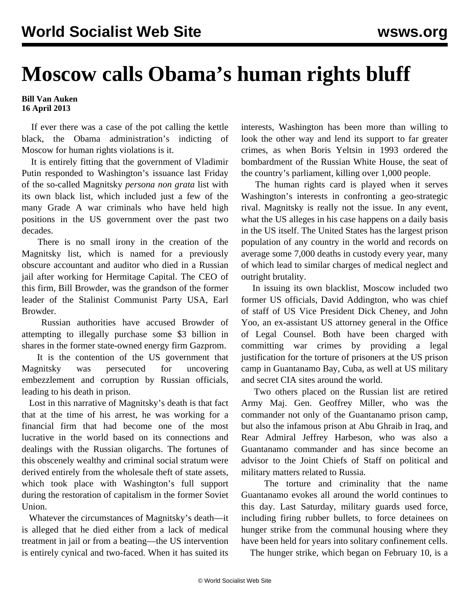## **Moscow calls Obama's human rights bluff**

## **Bill Van Auken 16 April 2013**

 If ever there was a case of the pot calling the kettle black, the Obama administration's indicting of Moscow for human rights violations is it.

 It is entirely fitting that the government of Vladimir Putin responded to Washington's issuance last Friday of the so-called Magnitsky *persona non grata* list with its own black list, which included just a few of the many Grade A war criminals who have held high positions in the US government over the past two decades.

 There is no small irony in the creation of the Magnitsky list, which is named for a previously obscure accountant and auditor who died in a Russian jail after working for Hermitage Capital. The CEO of this firm, Bill Browder, was the grandson of the former leader of the Stalinist Communist Party USA, Earl Browder.

 Russian authorities have accused Browder of attempting to illegally purchase some \$3 billion in shares in the former state-owned energy firm Gazprom.

 It is the contention of the US government that Magnitsky was persecuted for uncovering embezzlement and corruption by Russian officials, leading to his death in prison.

 Lost in this narrative of Magnitsky's death is that fact that at the time of his arrest, he was working for a financial firm that had become one of the most lucrative in the world based on its connections and dealings with the Russian oligarchs. The fortunes of this obscenely wealthy and criminal social stratum were derived entirely from the wholesale theft of state assets, which took place with Washington's full support during the restoration of capitalism in the former Soviet Union.

 Whatever the circumstances of Magnitsky's death—it is alleged that he died either from a lack of medical treatment in jail or from a beating—the US intervention is entirely cynical and two-faced. When it has suited its interests, Washington has been more than willing to look the other way and lend its support to far greater crimes, as when Boris Yeltsin in 1993 ordered the bombardment of the Russian White House, the seat of the country's parliament, killing over 1,000 people.

 The human rights card is played when it serves Washington's interests in confronting a geo-strategic rival. Magnitsky is really not the issue. In any event, what the US alleges in his case happens on a daily basis in the US itself. The United States has the largest prison population of any country in the world and records on average some 7,000 deaths in custody every year, many of which lead to similar charges of medical neglect and outright brutality.

 In issuing its own blacklist, Moscow included two former US officials, David Addington, who was chief of staff of US Vice President Dick Cheney, and John Yoo, an ex-assistant US attorney general in the Office of Legal Counsel. Both have been charged with committing war crimes by providing a legal justification for the torture of prisoners at the US prison camp in Guantanamo Bay, Cuba, as well at US military and secret CIA sites around the world.

 Two others placed on the Russian list are retired Army Maj. Gen. Geoffrey Miller, who was the commander not only of the Guantanamo prison camp, but also the infamous prison at Abu Ghraib in Iraq, and Rear Admiral Jeffrey Harbeson, who was also a Guantanamo commander and has since become an advisor to the Joint Chiefs of Staff on political and military matters related to Russia.

 The torture and criminality that the name Guantanamo evokes all around the world continues to this day. Last Saturday, military guards used force, including firing rubber bullets, to force detainees on hunger strike from the communal housing where they have been held for years into solitary confinement cells.

The hunger strike, which began on February 10, is a